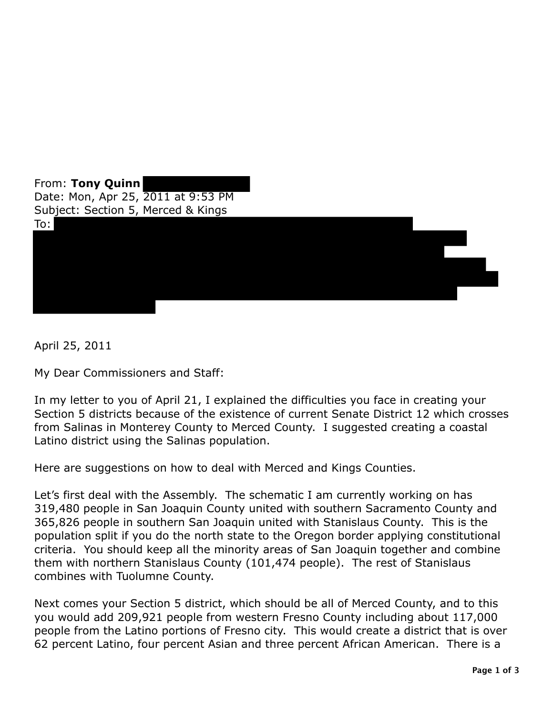

April 25, 2011

My Dear Commissioners and Staff:

In my letter to you of April 21, I explained the difficulties you face in creating your Section 5 districts because of the existence of current Senate District 12 which crosses from Salinas in Monterey County to Merced County. I suggested creating a coastal Latino district using the Salinas population.

Here are suggestions on how to deal with Merced and Kings Counties.

Let's first deal with the Assembly. The schematic I am currently working on has 319,480 people in San Joaquin County united with southern Sacramento County and 365,826 people in southern San Joaquin united with Stanislaus County. This is the population split if you do the north state to the Oregon border applying constitutional criteria. You should keep all the minority areas of San Joaquin together and combine them with northern Stanislaus County (101,474 people). The rest of Stanislaus combines with Tuolumne County.

Next comes your Section 5 district, which should be all of Merced County, and to this you would add 209,921 people from western Fresno County including about 117,000 people from the Latino portions of Fresno city. This would create a district that is over 62 percent Latino, four percent Asian and three percent African American. There is a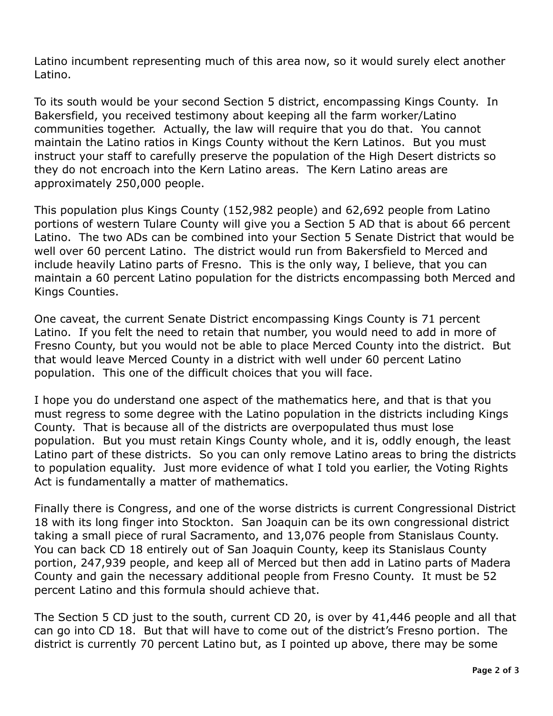Latino incumbent representing much of this area now, so it would surely elect another Latino.

 To its south would be your second Section 5 district, encompassing Kings County. In Bakersfield, you received testimony about keeping all the farm worker/Latino communities together. Actually, the law will require that you do that. You cannot maintain the Latino ratios in Kings County without the Kern Latinos. But you must instruct your staff to carefully preserve the population of the High Desert districts so they do not encroach into the Kern Latino areas. The Kern Latino areas are approximately 250,000 people.

 This population plus Kings County (152,982 people) and 62,692 people from Latino portions of western Tulare County will give you a Section 5 AD that is about 66 percent Latino. The two ADs can be combined into your Section 5 Senate District that would be well over 60 percent Latino. The district would run from Bakersfield to Merced and include heavily Latino parts of Fresno. This is the only way, I believe, that you can maintain a 60 percent Latino population for the districts encompassing both Merced and Kings Counties.

Kings Counties.<br>One caveat, the current Senate District encompassing Kings County is 71 percent Latino. If you felt the need to retain that number, you would need to add in more of Fresno County, but you would not be able to place Merced County into the district. But that would leave Merced County in a district with well under 60 percent Latino population. This one of the difficult choices that you will face.

 I hope you do understand one aspect of the mathematics here, and that is that you must regress to some degree with the Latino population in the districts including Kings County. That is because all of the districts are overpopulated thus must lose population. But you must retain Kings County whole, and it is, oddly enough, the least Latino part of these districts. So you can only remove Latino areas to bring the districts to population equality. Just more evidence of what I told you earlier, the Voting Rights Act is fundamentally a matter of mathematics.

 Finally there is Congress, and one of the worse districts is current Congressional District 18 with its long finger into Stockton. San Joaquin can be its own congressional district taking a small piece of rural Sacramento, and 13,076 people from Stanislaus County. You can back CD 18 entirely out of San Joaquin County, keep its Stanislaus County portion, 247,939 people, and keep all of Merced but then add in Latino parts of Madera County and gain the necessary additional people from Fresno County. It must be 52 percent Latino and this formula should achieve that.

 The Section 5 CD just to the south, current CD 20, is over by 41,446 people and all that can go into CD 18. But that will have to come out of the district's Fresno portion. The district is currently 70 percent Latino but, as I pointed up above, there may be some